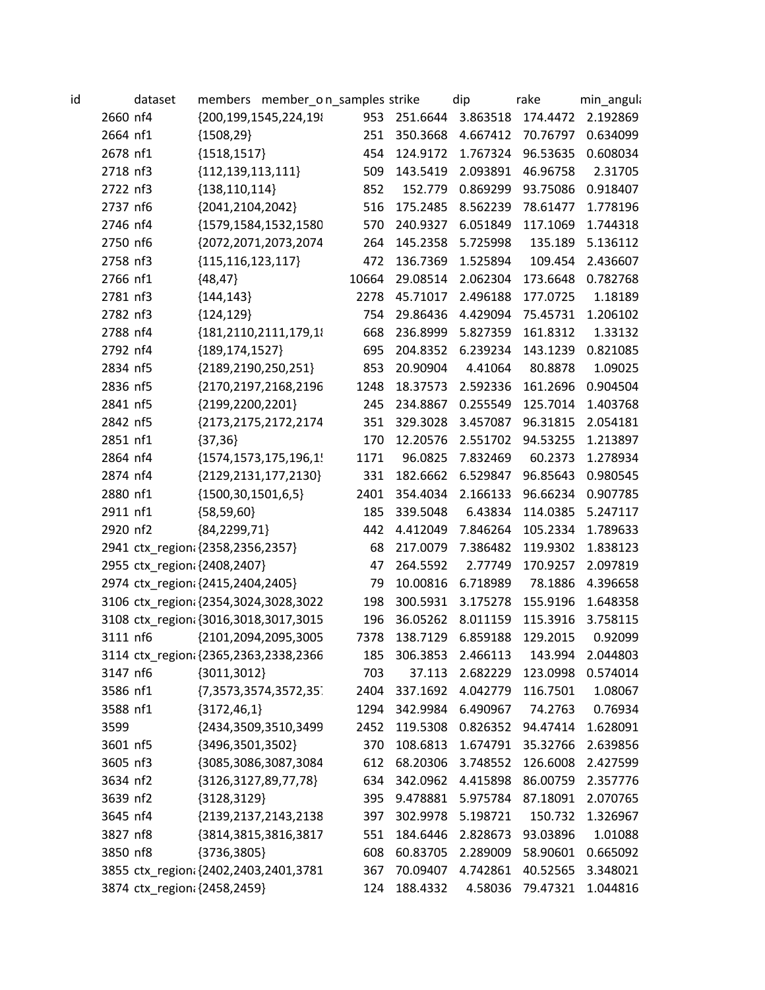| id |          | dataset | members member_o n_samples strike     |       |              | dip      | rake     | min_angula                             |
|----|----------|---------|---------------------------------------|-------|--------------|----------|----------|----------------------------------------|
|    | 2660 nf4 |         | {200,199,1545,224,19}                 |       | 953 251.6644 | 3.863518 | 174.4472 | 2.192869                               |
|    | 2664 nf1 |         | ${1508,29}$                           | 251   | 350.3668     | 4.667412 | 70.76797 | 0.634099                               |
|    | 2678 nf1 |         | ${1518, 1517}$                        | 454   | 124.9172     | 1.767324 | 96.53635 | 0.608034                               |
|    | 2718 nf3 |         | ${112, 139, 113, 111}$                | 509   | 143.5419     | 2.093891 | 46.96758 | 2.31705                                |
|    | 2722 nf3 |         | ${138,110,114}$                       | 852   | 152.779      | 0.869299 | 93.75086 | 0.918407                               |
|    | 2737 nf6 |         | {2041,2104,2042}                      | 516   | 175.2485     | 8.562239 | 78.61477 | 1.778196                               |
|    | 2746 nf4 |         | {1579,1584,1532,1580                  | 570   | 240.9327     | 6.051849 | 117.1069 | 1.744318                               |
|    | 2750 nf6 |         | {2072,2071,2073,2074                  | 264   | 145.2358     | 5.725998 | 135.189  | 5.136112                               |
|    | 2758 nf3 |         | ${115, 116, 123, 117}$                | 472   | 136.7369     | 1.525894 | 109.454  | 2.436607                               |
|    | 2766 nf1 |         | ${48,47}$                             | 10664 | 29.08514     | 2.062304 | 173.6648 | 0.782768                               |
|    | 2781 nf3 |         | ${144, 143}$                          | 2278  | 45.71017     | 2.496188 | 177.0725 | 1.18189                                |
|    | 2782 nf3 |         | ${124, 129}$                          | 754   | 29.86436     | 4.429094 | 75.45731 | 1.206102                               |
|    | 2788 nf4 |         | {181,2110,2111,179,1}                 | 668   | 236.8999     | 5.827359 | 161.8312 | 1.33132                                |
|    | 2792 nf4 |         | ${189, 174, 1527}$                    | 695   | 204.8352     | 6.239234 | 143.1239 | 0.821085                               |
|    | 2834 nf5 |         | ${2189,2190,250,251}$                 | 853   | 20.90904     | 4.41064  | 80.8878  | 1.09025                                |
|    | 2836 nf5 |         | {2170,2197,2168,2196                  | 1248  | 18.37573     | 2.592336 | 161.2696 | 0.904504                               |
|    | 2841 nf5 |         | {2199,2200,2201}                      | 245   | 234.8867     | 0.255549 | 125.7014 | 1.403768                               |
|    | 2842 nf5 |         | {2173,2175,2172,2174                  | 351   | 329.3028     | 3.457087 | 96.31815 | 2.054181                               |
|    | 2851 nf1 |         | ${37,36}$                             | 170   | 12.20576     | 2.551702 | 94.53255 | 1.213897                               |
|    | 2864 nf4 |         | {1574,1573,175,196,1!                 | 1171  | 96.0825      | 7.832469 | 60.2373  | 1.278934                               |
|    | 2874 nf4 |         | ${2129,2131,177,2130}$                | 331   | 182.6662     | 6.529847 | 96.85643 | 0.980545                               |
|    | 2880 nf1 |         | ${1500, 30, 1501, 6, 5}$              | 2401  | 354.4034     | 2.166133 | 96.66234 | 0.907785                               |
|    | 2911 nf1 |         | ${58,59,60}$                          | 185   | 339.5048     | 6.43834  | 114.0385 | 5.247117                               |
|    | 2920 nf2 |         | ${84,2299,71}$                        | 442   | 4.412049     | 7.846264 | 105.2334 | 1.789633                               |
|    |          |         | 2941 ctx_region: {2358,2356,2357}     | 68    | 217.0079     | 7.386482 | 119.9302 | 1.838123                               |
|    |          |         | 2955 ctx_region {2408,2407}           | 47    | 264.5592     | 2.77749  | 170.9257 | 2.097819                               |
|    |          |         | 2974 ctx region; {2415,2404,2405}     | 79    | 10.00816     | 6.718989 | 78.1886  | 4.396658                               |
|    |          |         | 3106 ctx_region {2354,3024,3028,3022  | 198   | 300.5931     | 3.175278 | 155.9196 | 1.648358                               |
|    |          |         | 3108 ctx_region({3016,3018,3017,3015  | 196   | 36.05262     | 8.011159 | 115.3916 | 3.758115                               |
|    | 3111 nf6 |         | {2101,2094,2095,3005                  | 7378  | 138.7129     | 6.859188 | 129.2015 | 0.92099                                |
|    |          |         | 3114 ctx_region: {2365,2363,2338,2366 |       |              |          |          | 185 306.3853 2.466113 143.994 2.044803 |
|    | 3147 nf6 |         | ${3011,3012}$                         | 703   | 37.113       | 2.682229 | 123.0998 | 0.574014                               |
|    | 3586 nf1 |         | ${7,3573,3574,3572,35}$               | 2404  | 337.1692     | 4.042779 | 116.7501 | 1.08067                                |
|    | 3588 nf1 |         | ${3172,46,1}$                         | 1294  | 342.9984     | 6.490967 | 74.2763  | 0.76934                                |
|    | 3599     |         | {2434,3509,3510,3499                  | 2452  | 119.5308     | 0.826352 | 94.47414 | 1.628091                               |
|    | 3601 nf5 |         | {3496,3501,3502}                      | 370   | 108.6813     | 1.674791 | 35.32766 | 2.639856                               |
|    | 3605 nf3 |         | {3085,3086,3087,3084                  | 612   | 68.20306     | 3.748552 | 126.6008 | 2.427599                               |
|    | 3634 nf2 |         | ${3126,3127,89,77,78}$                | 634   | 342.0962     | 4.415898 | 86.00759 | 2.357776                               |
|    | 3639 nf2 |         | ${3128,3129}$                         | 395   | 9.478881     | 5.975784 | 87.18091 | 2.070765                               |
|    | 3645 nf4 |         | {2139,2137,2143,2138                  | 397   | 302.9978     | 5.198721 | 150.732  | 1.326967                               |
|    | 3827 nf8 |         | {3814,3815,3816,3817                  | 551   | 184.6446     | 2.828673 | 93.03896 | 1.01088                                |
|    | 3850 nf8 |         | ${3736,3805}$                         | 608   | 60.83705     | 2.289009 | 58.90601 | 0.665092                               |
|    |          |         | 3855 ctx_region: {2402,2403,2401,3781 | 367   | 70.09407     | 4.742861 | 40.52565 | 3.348021                               |
|    |          |         | 3874 ctx_region: {2458,2459}          | 124   | 188.4332     | 4.58036  | 79.47321 | 1.044816                               |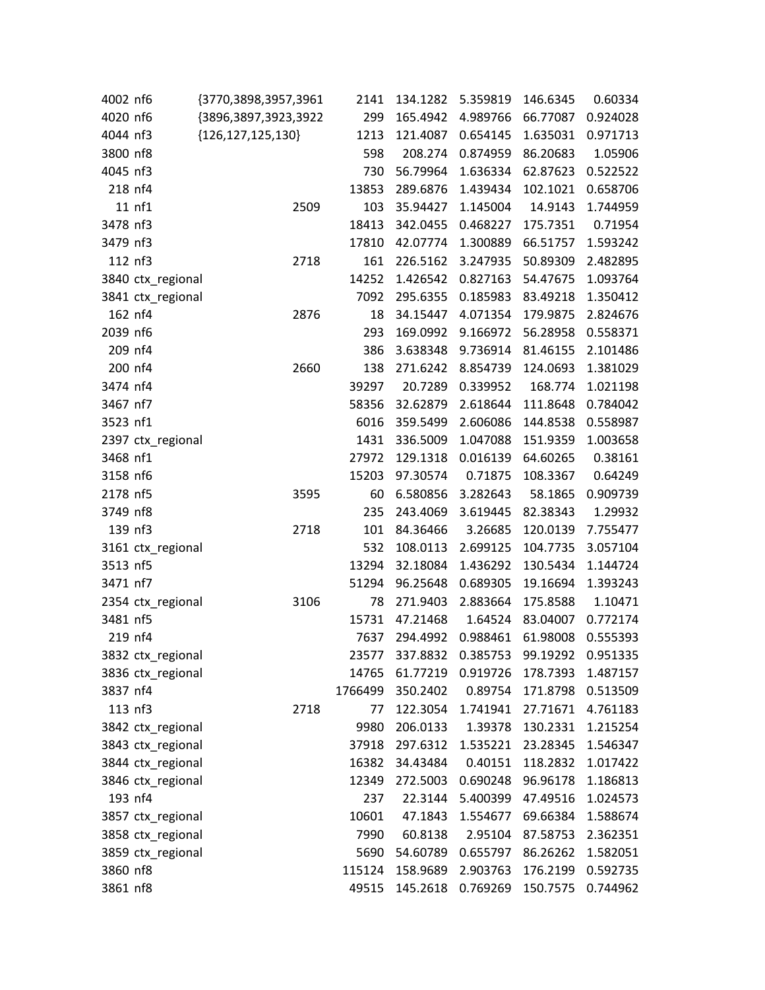| 4002 nf6 |                   | {3770,3898,3957,3961   | 2141    | 134.1282                | 5.359819 | 146.6345 | 0.60334           |
|----------|-------------------|------------------------|---------|-------------------------|----------|----------|-------------------|
| 4020 nf6 |                   | {3896,3897,3923,3922   | 299     | 165.4942                | 4.989766 | 66.77087 | 0.924028          |
| 4044 nf3 |                   | ${126, 127, 125, 130}$ | 1213    | 121.4087                | 0.654145 | 1.635031 | 0.971713          |
| 3800 nf8 |                   |                        | 598     | 208.274                 | 0.874959 | 86.20683 | 1.05906           |
| 4045 nf3 |                   |                        | 730     | 56.79964                | 1.636334 | 62.87623 | 0.522522          |
| 218 nf4  |                   |                        | 13853   | 289.6876                | 1.439434 | 102.1021 | 0.658706          |
|          | 11 nf1            | 2509                   | 103     | 35.94427                | 1.145004 | 14.9143  | 1.744959          |
| 3478 nf3 |                   |                        | 18413   | 342.0455                | 0.468227 | 175.7351 | 0.71954           |
| 3479 nf3 |                   |                        | 17810   | 42.07774                | 1.300889 | 66.51757 | 1.593242          |
| 112 nf3  |                   | 2718                   | 161     | 226.5162                | 3.247935 | 50.89309 | 2.482895          |
|          | 3840 ctx_regional |                        | 14252   | 1.426542                | 0.827163 | 54.47675 | 1.093764          |
|          | 3841 ctx_regional |                        | 7092    | 295.6355                | 0.185983 | 83.49218 | 1.350412          |
| 162 nf4  |                   | 2876                   | 18      | 34.15447                | 4.071354 | 179.9875 | 2.824676          |
| 2039 nf6 |                   |                        | 293     | 169.0992                | 9.166972 | 56.28958 | 0.558371          |
| 209 nf4  |                   |                        | 386     | 3.638348                | 9.736914 | 81.46155 | 2.101486          |
| 200 nf4  |                   | 2660                   | 138     | 271.6242                | 8.854739 | 124.0693 | 1.381029          |
| 3474 nf4 |                   |                        | 39297   | 20.7289                 | 0.339952 | 168.774  | 1.021198          |
| 3467 nf7 |                   |                        | 58356   | 32.62879                | 2.618644 | 111.8648 | 0.784042          |
| 3523 nf1 |                   |                        | 6016    | 359.5499                | 2.606086 | 144.8538 | 0.558987          |
|          | 2397 ctx_regional |                        | 1431    | 336.5009                | 1.047088 | 151.9359 | 1.003658          |
| 3468 nf1 |                   |                        | 27972   | 129.1318                | 0.016139 | 64.60265 | 0.38161           |
| 3158 nf6 |                   |                        | 15203   | 97.30574                | 0.71875  | 108.3367 | 0.64249           |
| 2178 nf5 |                   | 3595                   | 60      | 6.580856                | 3.282643 | 58.1865  | 0.909739          |
| 3749 nf8 |                   |                        | 235     | 243.4069                | 3.619445 | 82.38343 | 1.29932           |
| 139 nf3  |                   | 2718                   | 101     | 84.36466                | 3.26685  | 120.0139 | 7.755477          |
|          | 3161 ctx_regional |                        | 532     | 108.0113                | 2.699125 | 104.7735 | 3.057104          |
| 3513 nf5 |                   |                        | 13294   | 32.18084                | 1.436292 | 130.5434 | 1.144724          |
| 3471 nf7 |                   |                        | 51294   | 96.25648                | 0.689305 | 19.16694 | 1.393243          |
|          | 2354 ctx_regional | 3106                   | 78      | 271.9403                | 2.883664 | 175.8588 | 1.10471           |
| 3481 nf5 |                   |                        | 15731   | 47.21468                | 1.64524  | 83.04007 | 0.772174          |
| 219 nf4  |                   |                        | 7637    | 294.4992                | 0.988461 | 61.98008 | 0.555393          |
|          | 3832 ctx_regional |                        |         | 23577 337.8832 0.385753 |          |          | 99.19292 0.951335 |
|          | 3836 ctx_regional |                        | 14765   | 61.77219                | 0.919726 | 178.7393 | 1.487157          |
| 3837 nf4 |                   |                        | 1766499 | 350.2402                | 0.89754  | 171.8798 | 0.513509          |
| 113 nf3  |                   | 2718                   | 77      | 122.3054                | 1.741941 | 27.71671 | 4.761183          |
|          | 3842 ctx_regional |                        | 9980    | 206.0133                | 1.39378  | 130.2331 | 1.215254          |
|          | 3843 ctx_regional |                        | 37918   | 297.6312                | 1.535221 | 23.28345 | 1.546347          |
|          | 3844 ctx_regional |                        | 16382   | 34.43484                | 0.40151  | 118.2832 | 1.017422          |
|          | 3846 ctx_regional |                        | 12349   | 272.5003                | 0.690248 | 96.96178 | 1.186813          |
| 193 nf4  |                   |                        | 237     | 22.3144                 | 5.400399 | 47.49516 | 1.024573          |
|          | 3857 ctx_regional |                        | 10601   | 47.1843                 | 1.554677 | 69.66384 | 1.588674          |
|          | 3858 ctx_regional |                        | 7990    | 60.8138                 | 2.95104  | 87.58753 | 2.362351          |
|          | 3859 ctx_regional |                        | 5690    | 54.60789                | 0.655797 | 86.26262 | 1.582051          |
| 3860 nf8 |                   |                        | 115124  | 158.9689                | 2.903763 | 176.2199 | 0.592735          |
| 3861 nf8 |                   |                        | 49515   | 145.2618                | 0.769269 | 150.7575 | 0.744962          |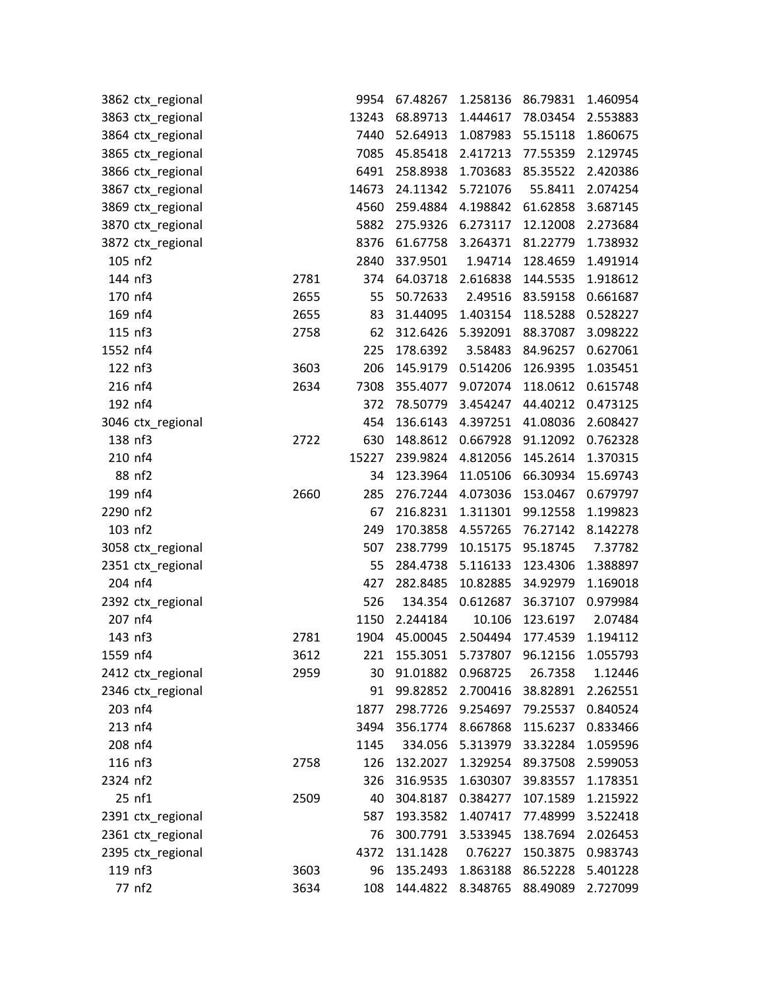|          | 3862 ctx_regional |      | 9954  | 67.48267                       | 1.258136 | 86.79831 | 1.460954 |
|----------|-------------------|------|-------|--------------------------------|----------|----------|----------|
|          | 3863 ctx_regional |      | 13243 | 68.89713                       | 1.444617 | 78.03454 | 2.553883 |
|          | 3864 ctx_regional |      | 7440  | 52.64913                       | 1.087983 | 55.15118 | 1.860675 |
|          | 3865 ctx_regional |      | 7085  | 45.85418                       | 2.417213 | 77.55359 | 2.129745 |
|          | 3866 ctx_regional |      | 6491  | 258.8938                       | 1.703683 | 85.35522 | 2.420386 |
|          | 3867 ctx_regional |      | 14673 | 24.11342                       | 5.721076 | 55.8411  | 2.074254 |
|          | 3869 ctx_regional |      | 4560  | 259.4884                       | 4.198842 | 61.62858 | 3.687145 |
|          | 3870 ctx_regional |      | 5882  | 275.9326                       | 6.273117 | 12.12008 | 2.273684 |
|          | 3872 ctx_regional |      | 8376  | 61.67758                       | 3.264371 | 81.22779 | 1.738932 |
|          | 105 nf2           |      | 2840  | 337.9501                       | 1.94714  | 128.4659 | 1.491914 |
|          | 144 nf3           | 2781 | 374   | 64.03718                       | 2.616838 | 144.5535 | 1.918612 |
|          | 170 nf4           | 2655 | 55    | 50.72633                       | 2.49516  | 83.59158 | 0.661687 |
|          | 169 nf4           | 2655 | 83    | 31.44095                       | 1.403154 | 118.5288 | 0.528227 |
|          | 115 nf3           | 2758 | 62    | 312.6426                       | 5.392091 | 88.37087 | 3.098222 |
| 1552 nf4 |                   |      | 225   | 178.6392                       | 3.58483  | 84.96257 | 0.627061 |
|          | 122 nf3           | 3603 | 206   | 145.9179                       | 0.514206 | 126.9395 | 1.035451 |
|          | 216 nf4           | 2634 | 7308  | 355.4077                       | 9.072074 | 118.0612 | 0.615748 |
|          | 192 nf4           |      | 372   | 78.50779                       | 3.454247 | 44.40212 | 0.473125 |
|          | 3046 ctx_regional |      | 454   | 136.6143                       | 4.397251 | 41.08036 | 2.608427 |
|          | 138 nf3           | 2722 | 630   | 148.8612                       | 0.667928 | 91.12092 | 0.762328 |
|          | 210 nf4           |      | 15227 | 239.9824                       | 4.812056 | 145.2614 | 1.370315 |
|          | 88 nf2            |      | 34    | 123.3964                       | 11.05106 | 66.30934 | 15.69743 |
|          | 199 nf4           | 2660 | 285   | 276.7244                       | 4.073036 | 153.0467 | 0.679797 |
| 2290 nf2 |                   |      | 67    | 216.8231                       | 1.311301 | 99.12558 | 1.199823 |
|          | 103 nf2           |      | 249   | 170.3858                       | 4.557265 | 76.27142 | 8.142278 |
|          | 3058 ctx_regional |      | 507   | 238.7799                       | 10.15175 | 95.18745 | 7.37782  |
|          | 2351 ctx_regional |      | 55    | 284.4738                       | 5.116133 | 123.4306 | 1.388897 |
|          | 204 nf4           |      | 427   | 282.8485                       | 10.82885 | 34.92979 | 1.169018 |
|          | 2392 ctx_regional |      | 526   | 134.354                        | 0.612687 | 36.37107 | 0.979984 |
|          | 207 nf4           |      | 1150  | 2.244184                       | 10.106   | 123.6197 | 2.07484  |
|          | 143 nf3           | 2781 | 1904  | 45.00045                       | 2.504494 | 177.4539 | 1.194112 |
| 1559 nf4 |                   | 3612 |       | 221 155.3051 5.737807 96.12156 |          |          | 1.055793 |
|          | 2412 ctx_regional | 2959 | 30    | 91.01882                       | 0.968725 | 26.7358  | 1.12446  |
|          | 2346 ctx_regional |      | 91    | 99.82852                       | 2.700416 | 38.82891 | 2.262551 |
|          | 203 nf4           |      | 1877  | 298.7726                       | 9.254697 | 79.25537 | 0.840524 |
|          | 213 nf4           |      | 3494  | 356.1774                       | 8.667868 | 115.6237 | 0.833466 |
|          | 208 nf4           |      | 1145  | 334.056                        | 5.313979 | 33.32284 | 1.059596 |
|          | 116 nf3           | 2758 | 126   | 132.2027                       | 1.329254 | 89.37508 | 2.599053 |
| 2324 nf2 |                   |      | 326   | 316.9535                       | 1.630307 | 39.83557 | 1.178351 |
|          | 25 nf1            | 2509 | 40    | 304.8187                       | 0.384277 | 107.1589 | 1.215922 |
|          | 2391 ctx_regional |      | 587   | 193.3582                       | 1.407417 | 77.48999 | 3.522418 |
|          | 2361 ctx_regional |      | 76    | 300.7791                       | 3.533945 | 138.7694 | 2.026453 |
|          | 2395 ctx_regional |      | 4372  | 131.1428                       | 0.76227  | 150.3875 | 0.983743 |
|          | 119 nf3           | 3603 | 96    | 135.2493                       | 1.863188 | 86.52228 | 5.401228 |
|          | 77 nf2            | 3634 | 108   | 144.4822                       | 8.348765 | 88.49089 | 2.727099 |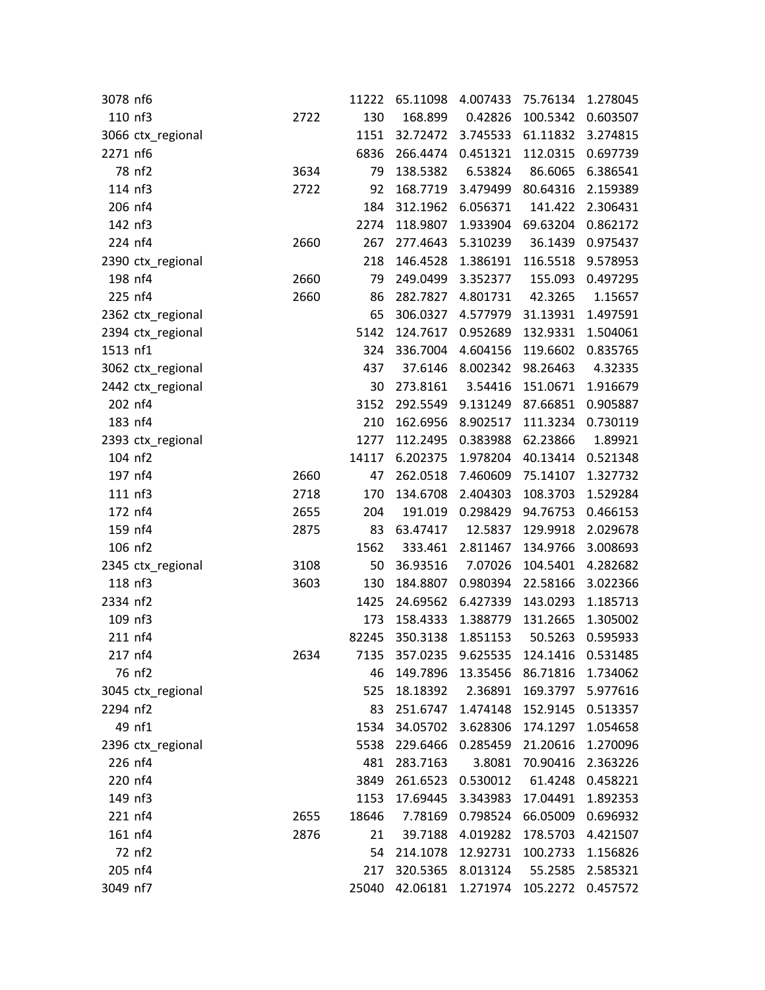| 3078 nf6 |                   |      | 11222 | 65.11098 | 4.007433          | 75.76134                               | 1.278045 |
|----------|-------------------|------|-------|----------|-------------------|----------------------------------------|----------|
| 110 nf3  |                   | 2722 | 130   | 168.899  | 0.42826           | 100.5342                               | 0.603507 |
|          | 3066 ctx_regional |      | 1151  | 32.72472 | 3.745533          | 61.11832                               | 3.274815 |
| 2271 nf6 |                   |      | 6836  | 266.4474 | 0.451321          | 112.0315                               | 0.697739 |
|          | 78 nf2            | 3634 | 79    | 138.5382 | 6.53824           | 86.6065                                | 6.386541 |
| 114 nf3  |                   | 2722 | 92    | 168.7719 | 3.479499          | 80.64316                               | 2.159389 |
| 206 nf4  |                   |      | 184   | 312.1962 | 6.056371          | 141.422                                | 2.306431 |
| 142 nf3  |                   |      | 2274  | 118.9807 | 1.933904          | 69.63204                               | 0.862172 |
| 224 nf4  |                   | 2660 | 267   | 277.4643 | 5.310239          | 36.1439                                | 0.975437 |
|          | 2390 ctx_regional |      | 218   | 146.4528 | 1.386191          | 116.5518                               | 9.578953 |
| 198 nf4  |                   | 2660 | 79    | 249.0499 | 3.352377          | 155.093                                | 0.497295 |
| 225 nf4  |                   | 2660 | 86    | 282.7827 | 4.801731          | 42.3265                                | 1.15657  |
|          | 2362 ctx_regional |      | 65    | 306.0327 | 4.577979          | 31.13931                               | 1.497591 |
|          | 2394 ctx_regional |      | 5142  | 124.7617 | 0.952689          | 132.9331                               | 1.504061 |
| 1513 nf1 |                   |      | 324   | 336.7004 | 4.604156          | 119.6602                               | 0.835765 |
|          | 3062 ctx_regional |      | 437   | 37.6146  | 8.002342          | 98.26463                               | 4.32335  |
|          | 2442 ctx_regional |      | 30    | 273.8161 | 3.54416           | 151.0671                               | 1.916679 |
|          | 202 nf4           |      | 3152  | 292.5549 | 9.131249          | 87.66851                               | 0.905887 |
| 183 nf4  |                   |      | 210   | 162.6956 | 8.902517          | 111.3234                               | 0.730119 |
|          | 2393 ctx_regional |      | 1277  | 112.2495 | 0.383988          | 62.23866                               | 1.89921  |
| 104 nf2  |                   |      | 14117 | 6.202375 | 1.978204          | 40.13414                               | 0.521348 |
| 197 nf4  |                   | 2660 | 47    | 262.0518 | 7.460609          | 75.14107                               | 1.327732 |
| 111 nf3  |                   | 2718 | 170   | 134.6708 | 2.404303          | 108.3703                               | 1.529284 |
| 172 nf4  |                   | 2655 | 204   | 191.019  | 0.298429          | 94.76753                               | 0.466153 |
| 159 nf4  |                   | 2875 | 83    | 63.47417 | 12.5837           | 129.9918                               | 2.029678 |
| 106 nf2  |                   |      | 1562  | 333.461  | 2.811467          | 134.9766                               | 3.008693 |
|          | 2345 ctx_regional | 3108 | 50    | 36.93516 | 7.07026           | 104.5401                               | 4.282682 |
| 118 nf3  |                   | 3603 | 130   | 184.8807 | 0.980394          | 22.58166                               | 3.022366 |
| 2334 nf2 |                   |      | 1425  | 24.69562 | 6.427339          | 143.0293                               | 1.185713 |
| 109 nf3  |                   |      | 173   | 158.4333 | 1.388779          | 131.2665                               | 1.305002 |
| 211 nf4  |                   |      | 82245 | 350.3138 | 1.851153          | 50.5263                                | 0.595933 |
| 217 nf4  |                   | 2634 | 7135  |          |                   | 357.0235  9.625535  124.1416  0.531485 |          |
|          | 76 nf2            |      | 46    | 149.7896 | 13.35456          | 86.71816                               | 1.734062 |
|          | 3045 ctx_regional |      | 525   | 18.18392 | 2.36891           | 169.3797                               | 5.977616 |
| 2294 nf2 |                   |      | 83    | 251.6747 | 1.474148          | 152.9145                               | 0.513357 |
|          | 49 nf1            |      | 1534  | 34.05702 | 3.628306          | 174.1297                               | 1.054658 |
|          | 2396 ctx_regional |      | 5538  | 229.6466 | 0.285459 21.20616 |                                        | 1.270096 |
| 226 nf4  |                   |      | 481   | 283.7163 | 3.8081            | 70.90416                               | 2.363226 |
| 220 nf4  |                   |      | 3849  | 261.6523 | 0.530012          | 61.4248                                | 0.458221 |
| 149 nf3  |                   |      | 1153  | 17.69445 | 3.343983          | 17.04491                               | 1.892353 |
| 221 nf4  |                   | 2655 | 18646 | 7.78169  | 0.798524          | 66.05009                               | 0.696932 |
| 161 nf4  |                   | 2876 | 21    | 39.7188  | 4.019282          | 178.5703                               | 4.421507 |
|          | 72 nf2            |      | 54    | 214.1078 | 12.92731          | 100.2733                               | 1.156826 |
| 205 nf4  |                   |      | 217   | 320.5365 | 8.013124          | 55.2585                                | 2.585321 |
| 3049 nf7 |                   |      | 25040 | 42.06181 | 1.271974          | 105.2272                               | 0.457572 |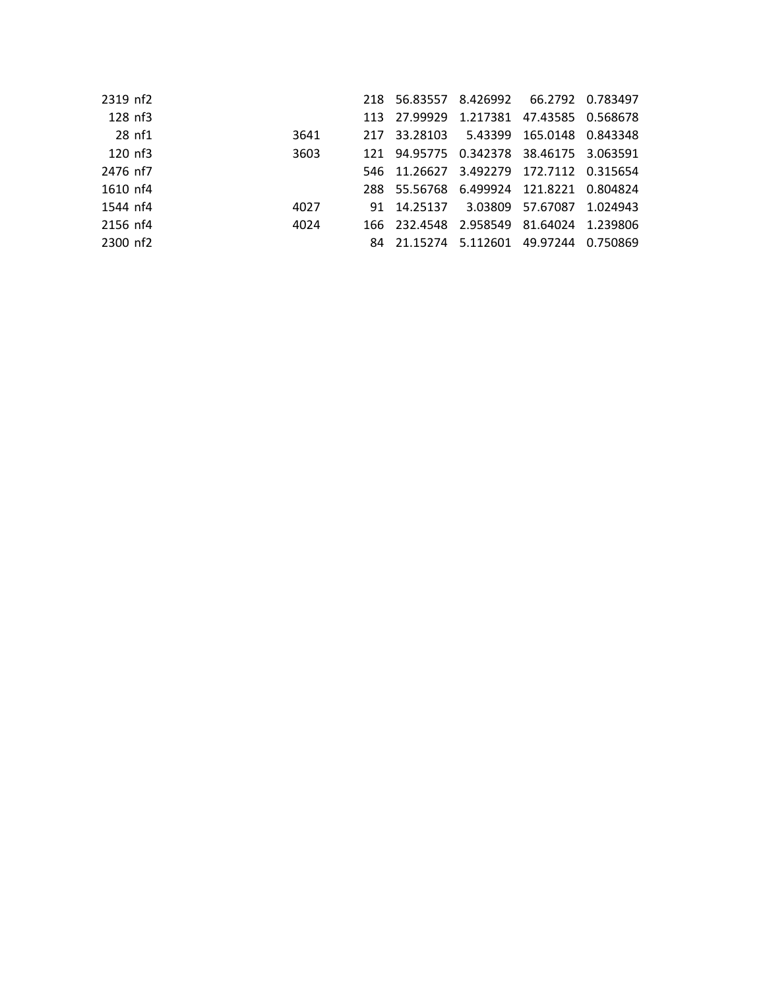| 2319 nf2  |      |  | 218 56.83557 8.426992 66.2792 0.783497  |  |
|-----------|------|--|-----------------------------------------|--|
| 128 nf3   |      |  | 113 27.99929 1.217381 47.43585 0.568678 |  |
| 28 nf1    | 3641 |  | 217 33.28103 5.43399 165.0148 0.843348  |  |
| $120$ nf3 | 3603 |  | 121 94.95775 0.342378 38.46175 3.063591 |  |
| 2476 nf7  |      |  | 546 11.26627 3.492279 172.7112 0.315654 |  |
| 1610 nf4  |      |  | 288 55.56768 6.499924 121.8221 0.804824 |  |
| 1544 nf4  | 4027 |  | 91 14.25137 3.03809 57.67087 1.024943   |  |
| 2156 nf4  | 4024 |  | 166 232.4548 2.958549 81.64024 1.239806 |  |
| 2300 nf2  |      |  | 84 21.15274 5.112601 49.97244 0.750869  |  |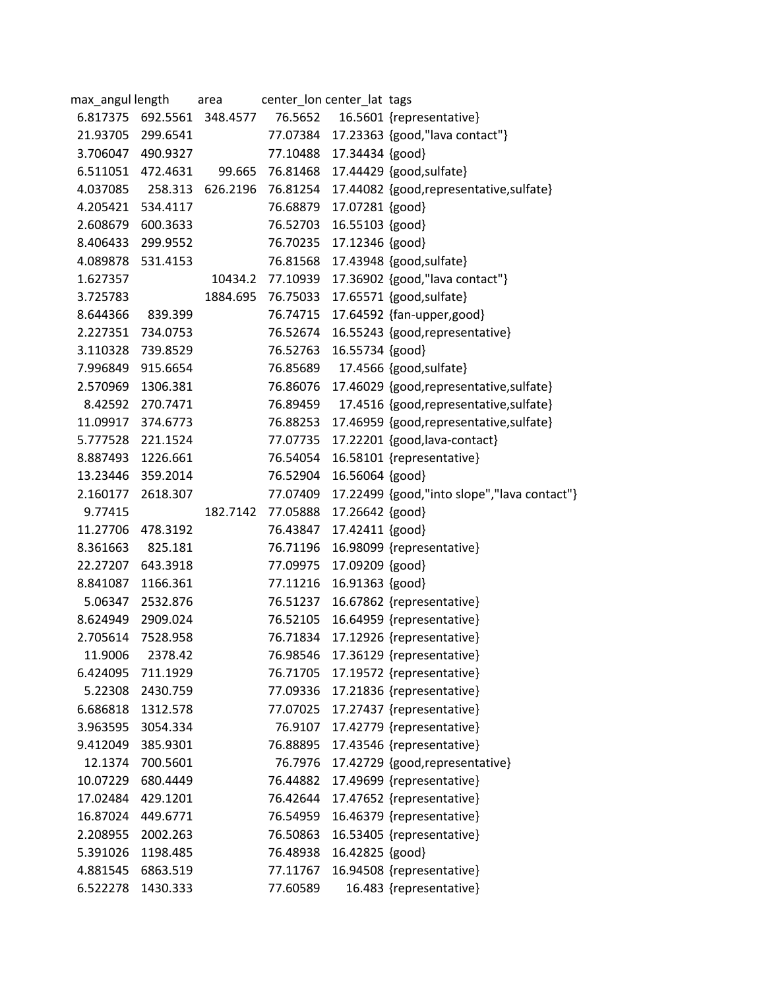| max_angul length  |          | area              |          | center_lon center_lat tags |                                             |
|-------------------|----------|-------------------|----------|----------------------------|---------------------------------------------|
| 6.817375          |          | 692.5561 348.4577 | 76.5652  |                            | 16.5601 {representative}                    |
| 21.93705 299.6541 |          |                   | 77.07384 |                            | 17.23363 {good,"lava contact"}              |
| 3.706047 490.9327 |          |                   | 77.10488 | 17.34434 {good}            |                                             |
| 6.511051          | 472.4631 | 99.665            | 76.81468 |                            | 17.44429 {good, sulfate}                    |
| 4.037085          |          | 258.313 626.2196  | 76.81254 |                            | 17.44082 {good,representative,sulfate}      |
| 4.205421          | 534.4117 |                   | 76.68879 | 17.07281 {good}            |                                             |
| 2.608679          | 600.3633 |                   | 76.52703 | 16.55103 {good}            |                                             |
| 8.406433          | 299.9552 |                   | 76.70235 | 17.12346 {good}            |                                             |
| 4.089878          | 531.4153 |                   | 76.81568 |                            | 17.43948 {good,sulfate}                     |
| 1.627357          |          | 10434.2           | 77.10939 |                            | 17.36902 {good,"lava contact"}              |
| 3.725783          |          | 1884.695          | 76.75033 |                            | 17.65571 {good,sulfate}                     |
| 8.644366          | 839.399  |                   | 76.74715 |                            | 17.64592 {fan-upper,good}                   |
| 2.227351          | 734.0753 |                   | 76.52674 |                            | 16.55243 {good,representative}              |
| 3.110328          | 739.8529 |                   | 76.52763 | 16.55734 {good}            |                                             |
| 7.996849          | 915.6654 |                   | 76.85689 |                            | 17.4566 {good, sulfate}                     |
| 2.570969          | 1306.381 |                   | 76.86076 |                            | 17.46029 {good,representative,sulfate}      |
| 8.42592           | 270.7471 |                   | 76.89459 |                            | 17.4516 {good,representative,sulfate}       |
| 11.09917          | 374.6773 |                   | 76.88253 |                            | 17.46959 {good,representative,sulfate}      |
| 5.777528          | 221.1524 |                   | 77.07735 |                            | 17.22201 {good, lava-contact}               |
| 8.887493          | 1226.661 |                   | 76.54054 |                            | 16.58101 {representative}                   |
| 13.23446          | 359.2014 |                   | 76.52904 | 16.56064 {good}            |                                             |
| 2.160177          | 2618.307 |                   | 77.07409 |                            | 17.22499 {good,"into slope","lava contact"} |
| 9.77415           |          | 182.7142          | 77.05888 | 17.26642 {good}            |                                             |
| 11.27706          | 478.3192 |                   | 76.43847 | 17.42411 {good}            |                                             |
| 8.361663          | 825.181  |                   | 76.71196 |                            | 16.98099 {representative}                   |
| 22.27207          | 643.3918 |                   | 77.09975 | 17.09209 {good}            |                                             |
| 8.841087          | 1166.361 |                   | 77.11216 | 16.91363 {good}            |                                             |
| 5.06347           | 2532.876 |                   | 76.51237 |                            | 16.67862 {representative}                   |
| 8.624949          | 2909.024 |                   | 76.52105 |                            | 16.64959 {representative}                   |
| 2.705614          | 7528.958 |                   | 76.71834 |                            | 17.12926 {representative}                   |
| 11.9006           | 2378.42  |                   | 76.98546 |                            | 17.36129 {representative}                   |
| 6.424095          | 711.1929 |                   | 76.71705 |                            | 17.19572 {representative}                   |
| 5.22308           | 2430.759 |                   | 77.09336 |                            | 17.21836 {representative}                   |
| 6.686818          | 1312.578 |                   | 77.07025 |                            | 17.27437 {representative}                   |
| 3.963595          | 3054.334 |                   | 76.9107  |                            | 17.42779 {representative}                   |
| 9.412049          | 385.9301 |                   | 76.88895 |                            | 17.43546 {representative}                   |
| 12.1374           | 700.5601 |                   | 76.7976  |                            | 17.42729 {good,representative}              |
| 10.07229          | 680.4449 |                   | 76.44882 |                            | 17.49699 {representative}                   |
| 17.02484          | 429.1201 |                   | 76.42644 |                            | 17.47652 {representative}                   |
| 16.87024          | 449.6771 |                   | 76.54959 |                            | 16.46379 {representative}                   |
| 2.208955          | 2002.263 |                   | 76.50863 |                            | 16.53405 {representative}                   |
| 5.391026          | 1198.485 |                   | 76.48938 | 16.42825 {good}            |                                             |
| 4.881545          | 6863.519 |                   | 77.11767 |                            | 16.94508 {representative}                   |
| 6.522278          | 1430.333 |                   | 77.60589 |                            | 16.483 {representative}                     |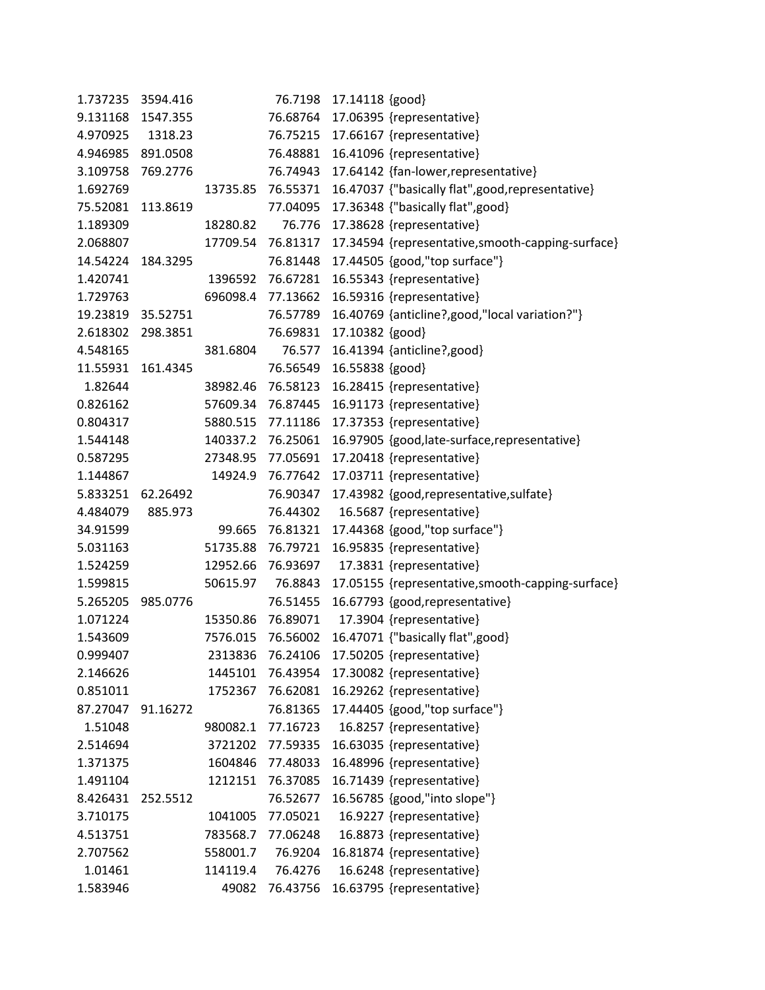| 1.737235 | 3594.416 |          | 76.7198  | 17.14118 {good}                                   |
|----------|----------|----------|----------|---------------------------------------------------|
| 9.131168 | 1547.355 |          | 76.68764 | 17.06395 {representative}                         |
| 4.970925 | 1318.23  |          | 76.75215 | 17.66167 {representative}                         |
| 4.946985 | 891.0508 |          | 76.48881 | 16.41096 {representative}                         |
| 3.109758 | 769.2776 |          | 76.74943 | 17.64142 {fan-lower, representative}              |
| 1.692769 |          | 13735.85 | 76.55371 | 16.47037 {"basically flat", good, representative} |
| 75.52081 | 113.8619 |          | 77.04095 | 17.36348 {"basically flat", good}                 |
| 1.189309 |          | 18280.82 | 76.776   | 17.38628 {representative}                         |
| 2.068807 |          | 17709.54 | 76.81317 | 17.34594 {representative, smooth-capping-surface} |
| 14.54224 | 184.3295 |          | 76.81448 | 17.44505 {good,"top surface"}                     |
| 1.420741 |          | 1396592  | 76.67281 | 16.55343 {representative}                         |
| 1.729763 |          | 696098.4 | 77.13662 | 16.59316 {representative}                         |
| 19.23819 | 35.52751 |          | 76.57789 | 16.40769 {anticline?, good, "local variation?"}   |
| 2.618302 | 298.3851 |          | 76.69831 | 17.10382 {good}                                   |
| 4.548165 |          | 381.6804 | 76.577   | 16.41394 {anticline?, good}                       |
| 11.55931 | 161.4345 |          | 76.56549 | 16.55838 {good}                                   |
| 1.82644  |          | 38982.46 | 76.58123 | 16.28415 {representative}                         |
| 0.826162 |          | 57609.34 | 76.87445 | 16.91173 {representative}                         |
| 0.804317 |          | 5880.515 | 77.11186 | 17.37353 {representative}                         |
| 1.544148 |          | 140337.2 | 76.25061 | 16.97905 {good, late-surface, representative}     |
| 0.587295 |          | 27348.95 | 77.05691 | 17.20418 {representative}                         |
| 1.144867 |          | 14924.9  | 76.77642 | 17.03711 {representative}                         |
| 5.833251 | 62.26492 |          | 76.90347 | 17.43982 {good,representative,sulfate}            |
| 4.484079 | 885.973  |          | 76.44302 | 16.5687 {representative}                          |
| 34.91599 |          | 99.665   | 76.81321 | 17.44368 {good,"top surface"}                     |
| 5.031163 |          | 51735.88 | 76.79721 | 16.95835 {representative}                         |
| 1.524259 |          | 12952.66 | 76.93697 | 17.3831 {representative}                          |
| 1.599815 |          | 50615.97 | 76.8843  | 17.05155 {representative, smooth-capping-surface} |
| 5.265205 | 985.0776 |          | 76.51455 | 16.67793 {good,representative}                    |
| 1.071224 |          | 15350.86 | 76.89071 | 17.3904 {representative}                          |
| 1.543609 |          | 7576.015 | 76.56002 | 16.47071 {"basically flat", good}                 |
| 0.999407 |          | 2313836  | 76.24106 | 17.50205 {representative}                         |
| 2.146626 |          | 1445101  | 76.43954 | 17.30082 {representative}                         |
| 0.851011 |          | 1752367  | 76.62081 | 16.29262 {representative}                         |
| 87.27047 | 91.16272 |          | 76.81365 | 17.44405 {good,"top surface"}                     |
| 1.51048  |          | 980082.1 | 77.16723 | 16.8257 {representative}                          |
| 2.514694 |          | 3721202  | 77.59335 | 16.63035 {representative}                         |
| 1.371375 |          | 1604846  | 77.48033 | 16.48996 {representative}                         |
| 1.491104 |          | 1212151  | 76.37085 | 16.71439 {representative}                         |
| 8.426431 | 252.5512 |          | 76.52677 | 16.56785 {good,"into slope"}                      |
| 3.710175 |          | 1041005  | 77.05021 | 16.9227 {representative}                          |
| 4.513751 |          | 783568.7 | 77.06248 | 16.8873 {representative}                          |
| 2.707562 |          | 558001.7 | 76.9204  | 16.81874 {representative}                         |
| 1.01461  |          | 114119.4 | 76.4276  | 16.6248 {representative}                          |
| 1.583946 |          | 49082    | 76.43756 | 16.63795 {representative}                         |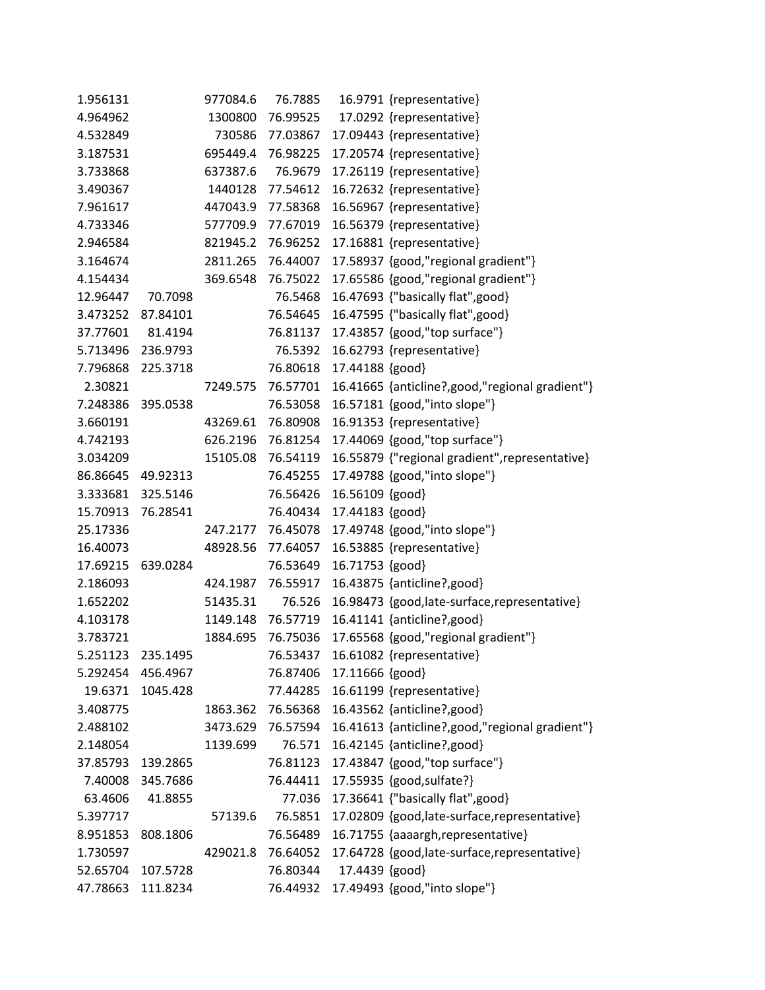| 1.956131 |                   | 977084.6 | 76.7885           | 16.9791 {representative}                         |
|----------|-------------------|----------|-------------------|--------------------------------------------------|
| 4.964962 |                   | 1300800  | 76.99525          | 17.0292 {representative}                         |
| 4.532849 |                   |          | 730586 77.03867   | 17.09443 {representative}                        |
| 3.187531 |                   | 695449.4 | 76.98225          | 17.20574 {representative}                        |
| 3.733868 |                   | 637387.6 | 76.9679           | 17.26119 {representative}                        |
| 3.490367 |                   | 1440128  | 77.54612          | 16.72632 {representative}                        |
| 7.961617 |                   | 447043.9 | 77.58368          | 16.56967 {representative}                        |
| 4.733346 |                   |          | 577709.9 77.67019 | 16.56379 {representative}                        |
| 2.946584 |                   | 821945.2 | 76.96252          | 17.16881 {representative}                        |
| 3.164674 |                   | 2811.265 | 76.44007          | 17.58937 {good,"regional gradient"}              |
| 4.154434 |                   | 369.6548 | 76.75022          | 17.65586 {good,"regional gradient"}              |
| 12.96447 | 70.7098           |          | 76.5468           | 16.47693 {"basically flat", good}                |
|          | 3.473252 87.84101 |          | 76.54645          | 16.47595 {"basically flat", good}                |
| 37.77601 | 81.4194           |          | 76.81137          | 17.43857 {good,"top surface"}                    |
| 5.713496 | 236.9793          |          | 76.5392           | 16.62793 {representative}                        |
| 7.796868 | 225.3718          |          | 76.80618          | 17.44188 {good}                                  |
| 2.30821  |                   | 7249.575 | 76.57701          | 16.41665 {anticline?, good, "regional gradient"} |
| 7.248386 | 395.0538          |          | 76.53058          | 16.57181 {good,"into slope"}                     |
| 3.660191 |                   | 43269.61 | 76.80908          | 16.91353 {representative}                        |
| 4.742193 |                   | 626.2196 | 76.81254          | 17.44069 {good,"top surface"}                    |
| 3.034209 |                   | 15105.08 | 76.54119          | 16.55879 {"regional gradient", representative}   |
| 86.86645 | 49.92313          |          | 76.45255          | 17.49788 {good,"into slope"}                     |
| 3.333681 | 325.5146          |          | 76.56426          | 16.56109 {good}                                  |
|          | 15.70913 76.28541 |          | 76.40434          | 17.44183 {good}                                  |
| 25.17336 |                   | 247.2177 | 76.45078          | 17.49748 {good,"into slope"}                     |
| 16.40073 |                   | 48928.56 | 77.64057          | 16.53885 {representative}                        |
| 17.69215 | 639.0284          |          | 76.53649          | 16.71753 {good}                                  |
| 2.186093 |                   | 424.1987 | 76.55917          | 16.43875 {anticline?, good}                      |
| 1.652202 |                   | 51435.31 | 76.526            | 16.98473 {good, late-surface, representative}    |
| 4.103178 |                   | 1149.148 | 76.57719          | 16.41141 {anticline?, good}                      |
| 3.783721 |                   | 1884.695 | 76.75036          | 17.65568 {good,"regional gradient"}              |
| 5.251123 | 235.1495          |          | 76.53437          | 16.61082 {representative}                        |
| 5.292454 | 456.4967          |          | 76.87406          | 17.11666 {good}                                  |
| 19.6371  | 1045.428          |          | 77.44285          | 16.61199 {representative}                        |
| 3.408775 |                   | 1863.362 | 76.56368          | 16.43562 {anticline?, good}                      |
| 2.488102 |                   |          | 3473.629 76.57594 | 16.41613 {anticline?, good, "regional gradient"} |
| 2.148054 |                   | 1139.699 | 76.571            | 16.42145 {anticline?, good}                      |
| 37.85793 | 139.2865          |          | 76.81123          | 17.43847 {good,"top surface"}                    |
| 7.40008  | 345.7686          |          | 76.44411          | 17.55935 {good, sulfate?}                        |
| 63.4606  | 41.8855           |          | 77.036            | 17.36641 {"basically flat", good}                |
| 5.397717 |                   | 57139.6  | 76.5851           | 17.02809 {good, late-surface, representative}    |
| 8.951853 | 808.1806          |          | 76.56489          | 16.71755 {aaaargh, representative}               |
| 1.730597 |                   | 429021.8 | 76.64052          | 17.64728 {good, late-surface, representative}    |
| 52.65704 | 107.5728          |          | 76.80344          | 17.4439 {good}                                   |
| 47.78663 | 111.8234          |          | 76.44932          | 17.49493 {good,"into slope"}                     |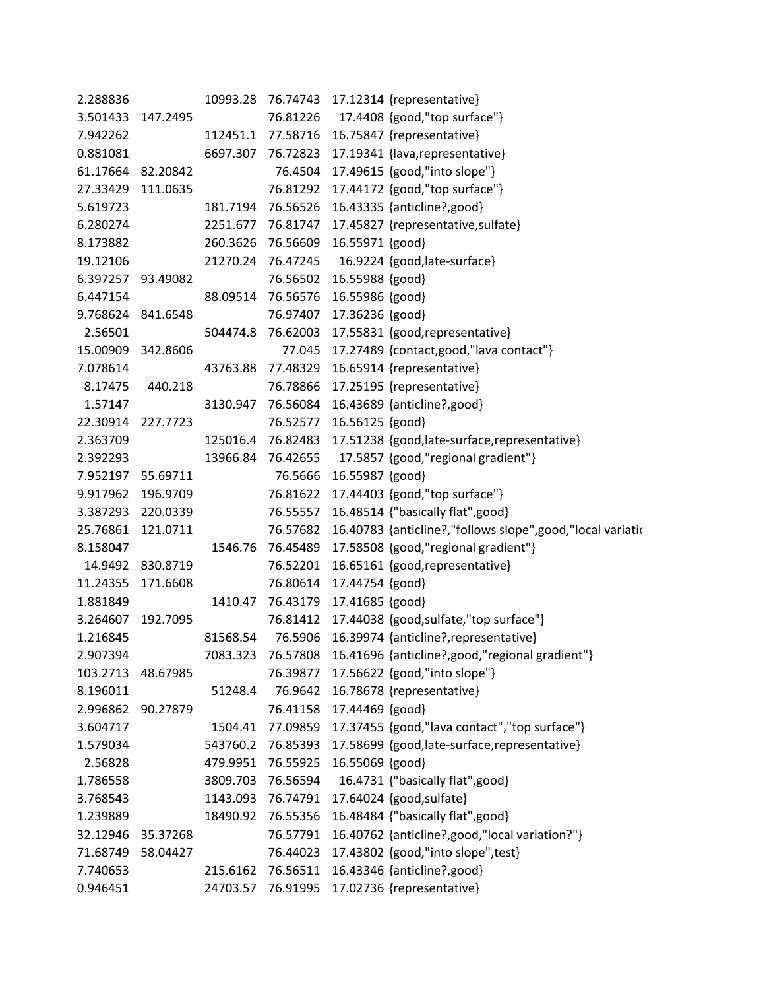| 2.288836          |                   | 10993.28 |                          |                 | 76.74743 17.12314 {representative}                                 |
|-------------------|-------------------|----------|--------------------------|-----------------|--------------------------------------------------------------------|
| 3.501433 147.2495 |                   |          | 76.81226                 |                 | 17.4408 {good,"top surface"}                                       |
| 7.942262          |                   |          |                          |                 | 112451.1 77.58716 16.75847 {representative}                        |
| 0.881081          |                   | 6697.307 | 76.72823                 |                 | 17.19341 {lava,representative}                                     |
| 61.17664          | 82.20842          |          | 76.4504                  |                 | 17.49615 {good,"into slope"}                                       |
| 27.33429          | 111.0635          |          | 76.81292                 |                 | 17.44172 {good,"top surface"}                                      |
| 5.619723          |                   |          | 181.7194 76.56526        |                 | 16.43335 {anticline?, good}                                        |
| 6.280274          |                   |          |                          |                 | 2251.677 76.81747 17.45827 {representative, sulfate}               |
| 8.173882          |                   | 260.3626 | 76.56609                 | 16.55971 {good} |                                                                    |
| 19.12106          |                   | 21270.24 | 76.47245                 |                 | 16.9224 {good, late-surface}                                       |
|                   | 6.397257 93.49082 |          | 76.56502                 | 16.55988 {good} |                                                                    |
| 6.447154          |                   |          | 88.09514 76.56576        | 16.55986 {good} |                                                                    |
|                   | 9.768624 841.6548 |          | 76.97407                 | 17.36236 {good} |                                                                    |
| 2.56501           |                   |          | 504474.8 76.62003        |                 | 17.55831 {good,representative}                                     |
| 15.00909          | 342.8606          |          | 77.045                   |                 | 17.27489 {contact, good, "lava contact"}                           |
| 7.078614          |                   | 43763.88 | 77.48329                 |                 | 16.65914 {representative}                                          |
| 8.17475           | 440.218           |          | 76.78866                 |                 | 17.25195 {representative}                                          |
| 1.57147           |                   | 3130.947 |                          |                 | 76.56084 16.43689 {anticline?, good}                               |
|                   | 22.30914 227.7723 |          | 76.52577                 | 16.56125 {good} |                                                                    |
| 2.363709          |                   |          | 125016.4 76.82483        |                 | 17.51238 {good, late-surface, representative}                      |
| 2.392293          |                   |          | 13966.84 76.42655        |                 | 17.5857 {good,"regional gradient"}                                 |
| 7.952197          | 55.69711          |          | 76.5666                  | 16.55987 {good} |                                                                    |
| 9.917962          | 196.9709          |          | 76.81622                 |                 | 17.44403 {good,"top surface"}                                      |
| 3.387293          | 220.0339          |          | 76.55557                 |                 | 16.48514 {"basically flat", good}                                  |
| 25.76861          | 121.0711          |          | 76.57682                 |                 | 16.40783 {anticline?,"follows slope",good,"local variation         |
| 8.158047          |                   | 1546.76  | 76.45489                 |                 | 17.58508 {good,"regional gradient"}                                |
| 14.9492           | 830.8719          |          | 76.52201                 |                 | 16.65161 {good,representative}                                     |
| 11.24355          | 171.6608          |          | 76.80614                 | 17.44754 {good} |                                                                    |
| 1.881849          |                   | 1410.47  | 76.43179 17.41685 {good} |                 |                                                                    |
| 3.264607          | 192.7095          |          | 76.81412                 |                 | 17.44038 {good,sulfate,"top surface"}                              |
| 1.216845          |                   | 81568.54 |                          |                 | 76.5906 16.39974 {anticline?, representative}                      |
| 2.907394          |                   |          |                          |                 | 7083.323 76.57808 16.41696 {anticline?, good, "regional gradient"} |
| 103.2713          | 48.67985          |          | 76.39877                 |                 | 17.56622 {good,"into slope"}                                       |
| 8.196011          |                   | 51248.4  | 76.9642                  |                 | 16.78678 {representative}                                          |
| 2.996862          | 90.27879          |          | 76.41158                 | 17.44469 {good} |                                                                    |
| 3.604717          |                   | 1504.41  | 77.09859                 |                 | 17.37455 {good,"lava contact","top surface"}                       |
| 1.579034          |                   | 543760.2 | 76.85393                 |                 | 17.58699 {good,late-surface,representative}                        |
| 2.56828           |                   | 479.9951 | 76.55925                 | 16.55069 {good} |                                                                    |
| 1.786558          |                   | 3809.703 | 76.56594                 |                 | 16.4731 {"basically flat",good}                                    |
| 3.768543          |                   | 1143.093 | 76.74791                 |                 | 17.64024 {good, sulfate}                                           |
| 1.239889          |                   | 18490.92 | 76.55356                 |                 | 16.48484 {"basically flat", good}                                  |
| 32.12946          | 35.37268          |          | 76.57791                 |                 | 16.40762 {anticline?, good, "local variation?"}                    |
| 71.68749          | 58.04427          |          | 76.44023                 |                 | 17.43802 {good,"into slope", test}                                 |
| 7.740653          |                   | 215.6162 | 76.56511                 |                 | 16.43346 {anticline?, good}                                        |
| 0.946451          |                   | 24703.57 | 76.91995                 |                 | 17.02736 {representative}                                          |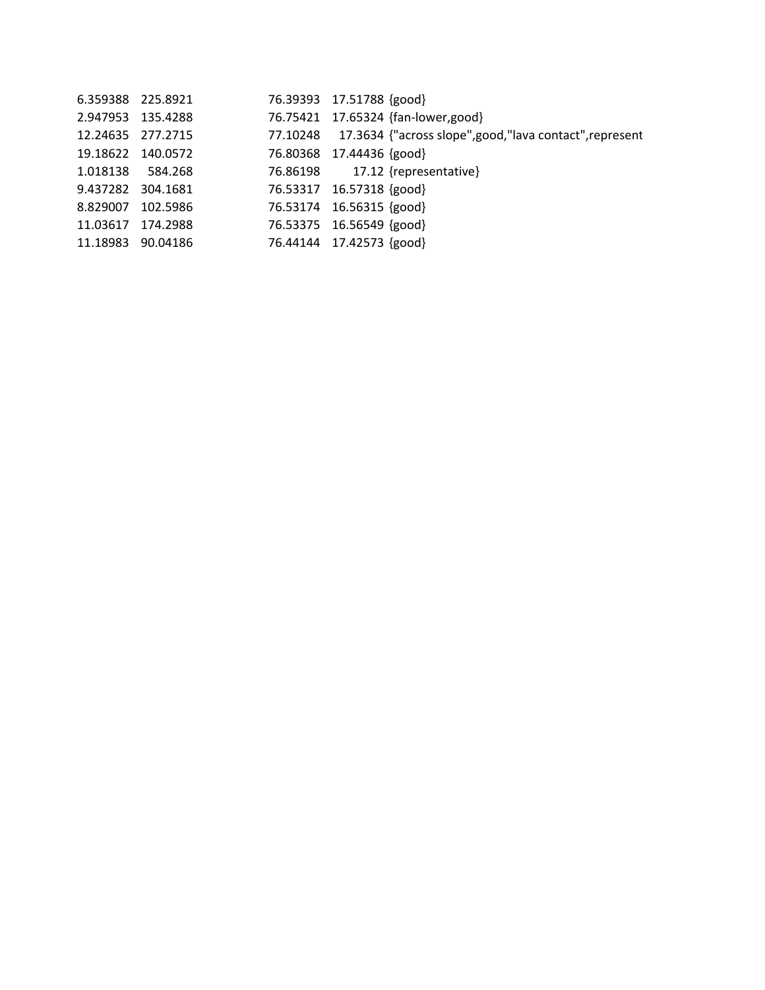| 6.359388 225.8921 |          | 76.39393 17.51788 {good}                                          |
|-------------------|----------|-------------------------------------------------------------------|
| 2.947953 135.4288 |          | 76.75421 17.65324 {fan-lower,good}                                |
| 12.24635 277.2715 |          | 77.10248 17.3634 {"across slope", good, "lava contact", represent |
| 19.18622 140.0572 |          | 76.80368 17.44436 {good}                                          |
| 1.018138 584.268  |          | 76.86198 17.12 {representative}                                   |
| 9.437282 304.1681 |          | 76.53317 16.57318 {good}                                          |
| 8.829007 102.5986 |          | 76.53174 16.56315 {good}                                          |
| 11.03617          | 174.2988 | 76.53375 16.56549 {good}                                          |
| 11.18983 90.04186 |          | 76.44144 17.42573 {good}                                          |
|                   |          |                                                                   |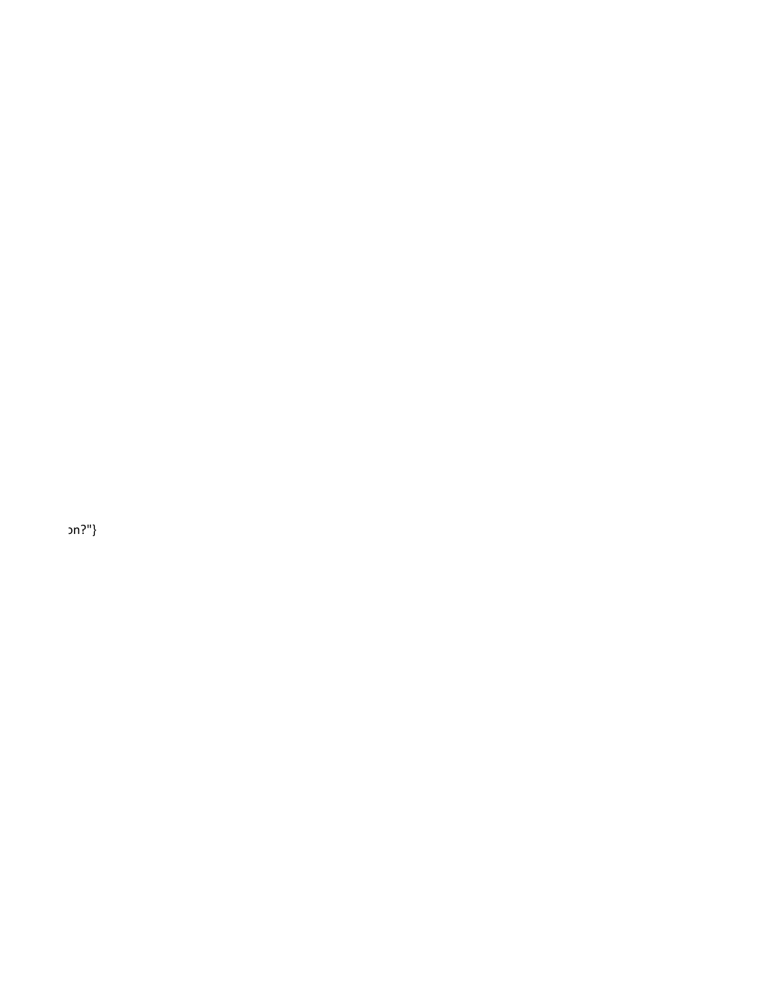n?"}